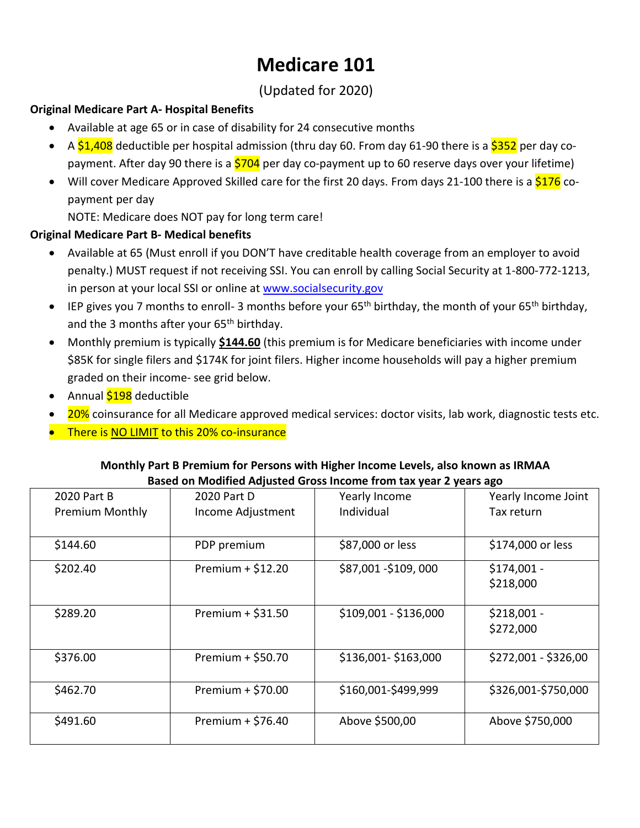# **Medicare 101**

# (Updated for 2020)

# **Original Medicare Part A- Hospital Benefits**

- Available at age 65 or in case of disability for 24 consecutive months
- A  $$1,408$  deductible per hospital admission (thru day 60. From day 61-90 there is a  $$352$  per day copayment. After day 90 there is a  $$704$  per day co-payment up to 60 reserve days over your lifetime)
- Will cover Medicare Approved Skilled care for the first 20 days. From days 21-100 there is a  $$176$  copayment per day

NOTE: Medicare does NOT pay for long term care!

## **Original Medicare Part B- Medical benefits**

- Available at 65 (Must enroll if you DON'T have creditable health coverage from an employer to avoid penalty.) MUST request if not receiving SSI. You can enroll by calling Social Security at 1-800-772-1213, in person at your local SSI or online at [www.socialsecurity.gov](http://www.socialsecurity.gov/)
- **IEP gives you 7 months to enroll- 3 months before your 65<sup>th</sup> birthday, the month of your 65<sup>th</sup> birthday,** and the 3 months after your 65<sup>th</sup> birthday.
- Monthly premium is typically **\$144.60** (this premium is for Medicare beneficiaries with income under \$85K for single filers and \$174K for joint filers. Higher income households will pay a higher premium graded on their income- see grid below.
- Annual \$198 deductible
- 20% coinsurance for all Medicare approved medical services: doctor visits, lab work, diagnostic tests etc.
- There is NO LIMIT to this 20% co-insurance

#### **Monthly Part B Premium for Persons with Higher Income Levels, also known as IRMAA Based on Modified Adjusted Gross Income from tax year 2 years ago**

| 2020 Part B            | 2020 Part D         | Yearly Income         | Yearly Income Joint  |
|------------------------|---------------------|-----------------------|----------------------|
| <b>Premium Monthly</b> | Income Adjustment   | Individual            | Tax return           |
| \$144.60               | PDP premium         | \$87,000 or less      | \$174,000 or less    |
| \$202.40               | Premium $+$ \$12.20 | \$87,001 - \$109,000  | $$174,001 -$         |
|                        |                     |                       | \$218,000            |
| \$289.20               | Premium $+$ \$31.50 | \$109,001 - \$136,000 | $$218,001 -$         |
|                        |                     |                       | \$272,000            |
| \$376.00               | Premium $+$ \$50.70 | \$136,001-\$163,000   | \$272,001 - \$326,00 |
| \$462.70               | Premium $+$ \$70.00 | \$160,001-\$499,999   | \$326,001-\$750,000  |
| \$491.60               | Premium + $$76.40$  | Above \$500,00        | Above \$750,000      |